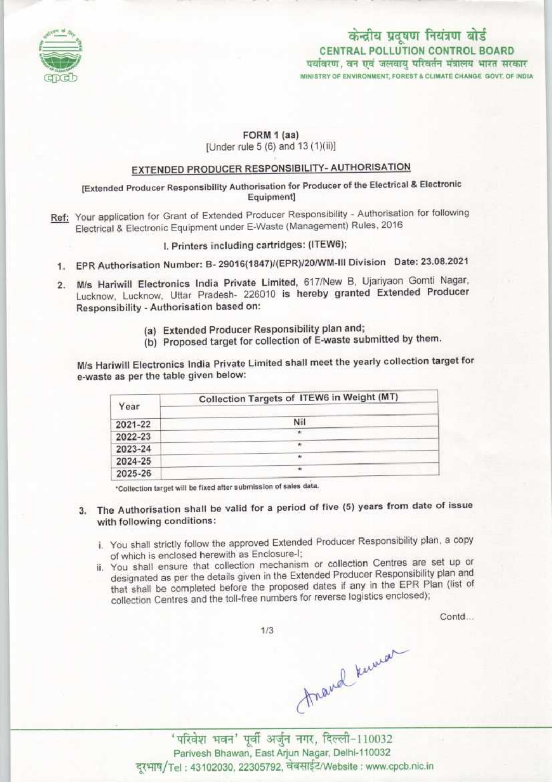

# केन्द्रीय प्रदूषण नियंत्रण बोर्ड CENTRAL POLLUTION CONTROL BOARD<br>पर्यावरण, वन एवं जलवायु परिवर्तन मंत्रालय भारत सरकार MINISTRY OF ENVIRONMENT, FOREST & CLIMATE CHANGE GOVT, OF INDIA

FORM 1 (aa)

[Under rule 5 (6) and 13 (1)(ii)]

## EXTENDED PRODUCER RESPONSIBILITY- AUTHORISATION

[Extended Producer Responsibility Authorisation for Producer of the Electrical & Electronic Equipment]

Ref: Your application for Grant of Extended Producer Responsibility - Authorisation for following Electrical & Electronic Equipment under E-Waste (Management) Rules, 2016

I. Printers including cartridges: (ITEW6);

- EPR Authorisation Number: B- 29016{1847)/(EPR)I20/WM-III Division Date: 23.08.2021
- 2. M/s Hariwill Electronics India Private Limited, 617/New B, Ujariyaon Gomti Nagar, Lucknow, Lucknow, Uttar Pradesh- 226010 is hereby granted Extended Producer Responsibility - Authorisation baaed on:
	- (a) Extended Producer Responsibility plan and;
	- (b) Proposed target for collection of E-waste submitted by them.

M/s Hariwill Electronics India Private Limited shall meet the yearly collection target for e-waste as per the table given below:

| Year    | Collection Targets of ITEW6 in Weight (MT) |
|---------|--------------------------------------------|
| 2021-22 | Nil                                        |
| 2022-23 |                                            |
| 2023-24 |                                            |
| 2024-25 | ۰                                          |
| 2025-26 | $\rightarrow$                              |

\*Collection target will be fixed after submission of sales data.

- 3. The Authorisation shall be valid for a period of five (5) years from date of issue with following conditions:
	- . You shall strictly follow the approved Extended Producer Responsibility plan, a copy of which is enclosed herewith as Enclosure-I;
	- ii. You shall ensure that collection mechanism or collection Centres are set up or designated as per the details given in the Extended Producer Responsibility plan and that shall be completed before the proposed dates if any in the EPR Plan (list of collection Centres and the toll-free numbers for reverse logistics enclosed);

Contd...

 $1/3$ 

mand known

' परिवेश भवन' पूर्वी अर्जुन नगर, दिल्ली-110032<br>Parivesh Bhawan, East Arjun Nagar, Delhi-110032 दूरभाष/Tel: 43102030, 22305792, चेबसाईट/Website : www.cpcb.nic.in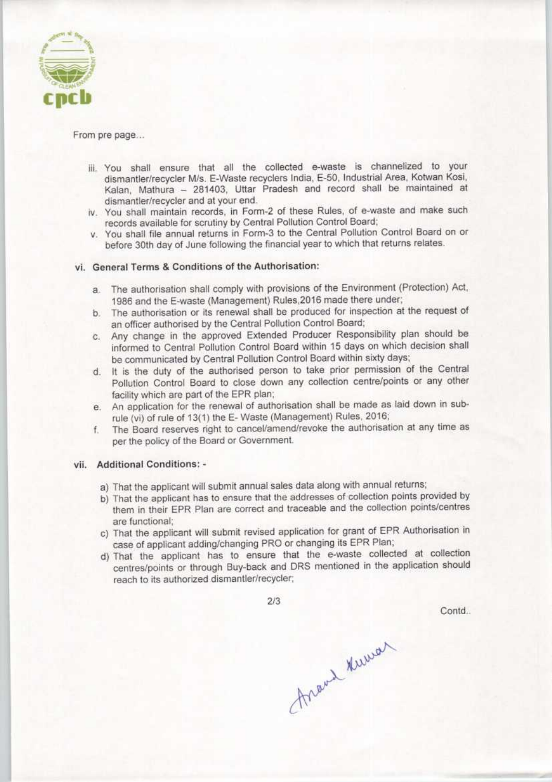

#### From pre page...

- iii. You shall ensure that all the collected e-waste is channelized to your dismantler/recycler M/s. E-Waste recyclers India, E-50. Industrial Area. Kotwan Kosi. Kalan, Mathura - 281403, Uttar Pradesh and record shall be maintained at dismantler/recycler and at your end.
- iv. You shall maintain records, in Form-2 of these Rules, of e-waste and make such records available for scrutiny by Central Pollution Control Board;
- v. You shall file annual returns in Form-3 to the Central Pollution Control Board on or before 30th day of June following the financial year to which that returns relates.

### vi. General Terms & Conditions of the Authorisation:

- a.The authorisation shall comply with provisions of the Environment (Protection) Act, 1986 and the E-waste (Management) Rules.2016 made there under;
- b. The authorisation or its renewal shall be produced for inspection at the request of an officer authorised by the Central Pollution Control Board;
- c.Any change in the approved Extended Producer Responsibility plan should be informed to Central Pollution Control Board within 15 days on which decision shall be communicated by Central Pollution Control Board within sixty days;
- d. It is the duty of the authorised person to take prior permission of the Central Pollution Control Board to close down any collection centre/points or any other facility which are part of the EPR plan;
- e. An application for the renewal of authorisation shall be made as laid down in subrule (vi) ot rule of 13(1) the E- Waste (Management) Rules. 2016;
- f.The Board reserves right to cancel/amend/revoke the authorisation at any time as per the policy of the Board or Government.

#### vii. Additional Conditions: -

- a) That the applicant will submit annual sales data along with annual returns;
- b)That the applicant has to ensure that the addresses of collection points provided by them in their EPR Plan are correct and traceable and the collection points/centres are functional;
- c) That the applicant will submit revised application for grant of EPR Authorisation in case ot applicant adding/changing PRO or changing its EPR Plan;
- d)That the applicant has to ensure that the e-waste collected at collection centres/points or through Buy-back and DRS mentioned in the application should reach to its authorized dismantler/recycler;

2/3

Contd.

Thravel Kuman